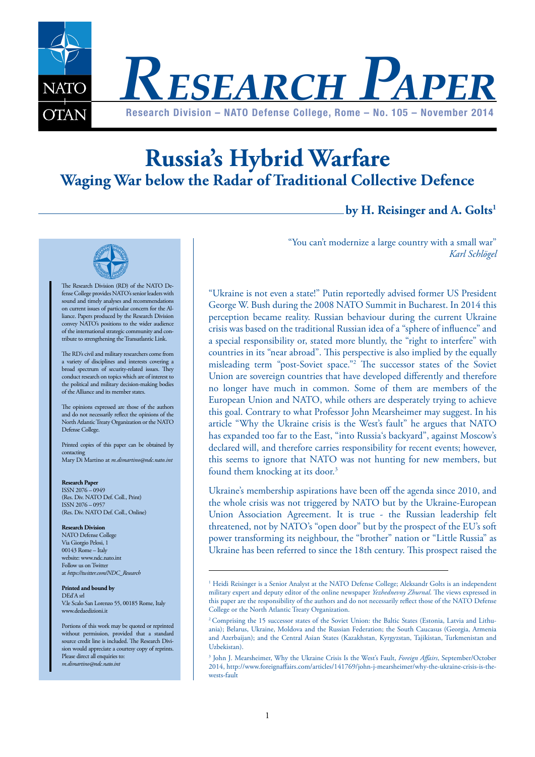

# **Russia's Hybrid Warfare Waging War below the Radar of Traditional Collective Defence**

## **by H. Reisinger and A. Golts1**



The Research Division (RD) of the NATO Defense College provides NATO's senior leaders with sound and timely analyses and recommendations on current issues of particular concern for the Alliance. Papers produced by the Research Division convey NATO's positions to the wider audience of the international strategic community and contribute to strengthening the Transatlantic Link.

The RD's civil and military researchers come from a variety of disciplines and interests covering a broad spectrum of security-related issues. They conduct research on topics which are of interest to the political and military decision-making bodies of the Alliance and its member states.

The opinions expressed are those of the authors and do not necessarily reflect the opinions of the North Atlantic Treaty Organization or the NATO Defense College.

Printed copies of this paper can be obtained by contacting Mary Di Martino at *m.dimartino@ndc.nato.int* 

**Research Paper** ISSN 2076 – 0949 (Res. Div. NATO Def. Coll., Print) ISSN 2076 – 0957 (Res. Div. NATO Def. Coll., Online)

#### **Research Division**

NATO Defense College Via Giorgio Pelosi, 1 00143 Rome – Italy website: www.ndc.nato.int Follow us on Twitter at *https://twitter.com/NDC\_Research*

#### **Printed and bound by** DEd'A srl

V.le Scalo San Lorenzo 55, 00185 Rome, Italy www.dedaedizioni.it

Portions of this work may be quoted or reprinted without permission, provided that a standard source credit line is included. The Research Division would appreciate a courtesy copy of reprints. Please direct all enquiries to: *m.dimartino@ndc.nato.int* 

"You can't modernize a large country with a small war" *Karl Schlögel*

"Ukraine is not even a state!" Putin reportedly advised former US President George W. Bush during the 2008 NATO Summit in Bucharest. In 2014 this perception became reality. Russian behaviour during the current Ukraine crisis was based on the traditional Russian idea of a "sphere of influence" and a special responsibility or, stated more bluntly, the "right to interfere" with countries in its "near abroad". This perspective is also implied by the equally misleading term "post-Soviet space."2 The successor states of the Soviet Union are sovereign countries that have developed differently and therefore no longer have much in common. Some of them are members of the European Union and NATO, while others are desperately trying to achieve this goal. Contrary to what Professor John Mearsheimer may suggest. In his article "Why the Ukraine crisis is the West's fault" he argues that NATO has expanded too far to the East, "into Russia's backyard", against Moscow's declared will, and therefore carries responsibility for recent events; however, this seems to ignore that NATO was not hunting for new members, but found them knocking at its door.<sup>3</sup>

Ukraine's membership aspirations have been off the agenda since 2010, and the whole crisis was not triggered by NATO but by the Ukraine-European Union Association Agreement. It is true - the Russian leadership felt threatened, not by NATO's "open door" but by the prospect of the EU's soft power transforming its neighbour, the "brother" nation or "Little Russia" as Ukraine has been referred to since the 18th century. This prospect raised the

<sup>&</sup>lt;sup>1</sup> Heidi Reisinger is a Senior Analyst at the NATO Defense College; Aleksandr Golts is an independent military expert and deputy editor of the online newspaper *Yezhednevny Zhurnal*. The views expressed in this paper are the responsibility of the authors and do not necessarily reflect those of the NATO Defense College or the North Atlantic Treaty Organization.

<sup>&</sup>lt;sup>2</sup> Comprising the 15 successor states of the Soviet Union: the Baltic States (Estonia, Latvia and Lithuania); Belarus, Ukraine, Moldova and the Russian Federation; the South Caucasus (Georgia, Armenia and Azerbaijan); and the Central Asian States (Kazakhstan, Kyrgyzstan, Tajikistan, Turkmenistan and Uzbekistan).

<sup>3</sup> John J. Mearsheimer, Why the Ukraine Crisis Is the West's Fault, *Foreign Affairs*, September/October 2014, http://www.foreignaffairs.com/articles/141769/john-j-mearsheimer/why-the-ukraine-crisis-is-thewests-fault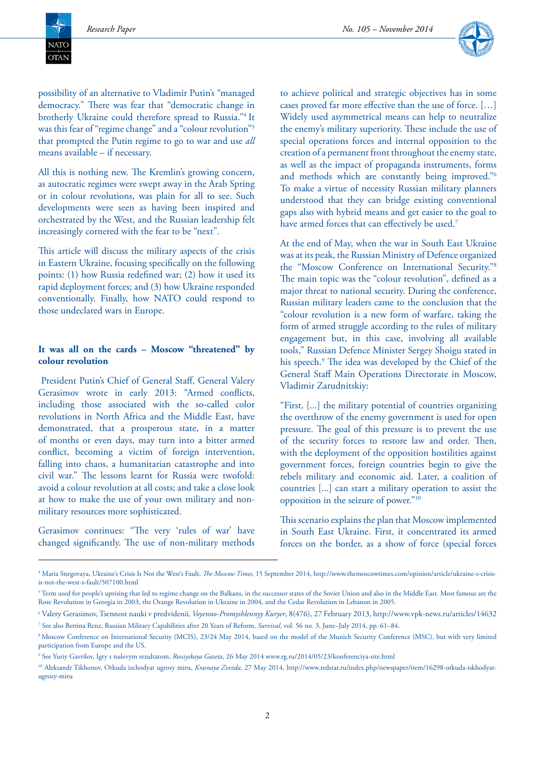NATC  $\overline{\text{OTAN}}$ 



possibility of an alternative to Vladimir Putin's "managed democracy." There was fear that "democratic change in brotherly Ukraine could therefore spread to Russia."4 It was this fear of "regime change" and a "colour revolution"5 that prompted the Putin regime to go to war and use *all* means available – if necessary.

All this is nothing new. The Kremlin's growing concern, as autocratic regimes were swept away in the Arab Spring or in colour revolutions, was plain for all to see. Such developments were seen as having been inspired and orchestrated by the West, and the Russian leadership felt increasingly cornered with the fear to be "next".

This article will discuss the military aspects of the crisis in Eastern Ukraine, focusing specifically on the following points: (1) how Russia redefined war; (2) how it used its rapid deployment forces; and (3) how Ukraine responded conventionally. Finally, how NATO could respond to those undeclared wars in Europe.

#### **It was all on the cards – Moscow "threatened" by colour revolution**

 President Putin's Chief of General Staff, General Valery Gerasimov wrote in early 2013: "Armed conflicts, including those associated with the so-called color revolutions in North Africa and the Middle East, have demonstrated, that a prosperous state, in a matter of months or even days, may turn into a bitter armed conflict, becoming a victim of foreign intervention, falling into chaos, a humanitarian catastrophe and into civil war." The lessons learnt for Russia were twofold: avoid a colour revolution at all costs; and take a close look at how to make the use of your own military and nonmilitary resources more sophisticated.

Gerasimov continues: "The very 'rules of war' have changed significantly. The use of non-military methods to achieve political and strategic objectives has in some cases proved far more effective than the use of force. […] Widely used asymmetrical means can help to neutralize the enemy's military superiority. These include the use of special operations forces and internal opposition to the creation of a permanent front throughout the enemy state, as well as the impact of propaganda instruments, forms and methods which are constantly being improved."6 To make a virtue of necessity Russian military planners understood that they can bridge existing conventional gaps also with hybrid means and get easier to the goal to have armed forces that can effectively be used.<sup>7</sup>

At the end of May, when the war in South East Ukraine was at its peak, the Russian Ministry of Defence organized the "Moscow Conference on International Security."8 The main topic was the "colour revolution", defined as a major threat to national security. During the conference, Russian military leaders came to the conclusion that the "colour revolution is a new form of warfare, taking the form of armed struggle according to the rules of military engagement but, in this case, involving all available tools," Russian Defence Minister Sergey Shoigu stated in his speech.9 The idea was developed by the Chief of the General Staff Main Operations Directorate in Moscow, Vladimir Zarudnitskiy:

"First, [...] the military potential of countries organizing the overthrow of the enemy government is used for open pressure. The goal of this pressure is to prevent the use of the security forces to restore law and order. Then, with the deployment of the opposition hostilities against government forces, foreign countries begin to give the rebels military and economic aid. Later, a coalition of countries [...] can start a military operation to assist the opposition in the seizure of power."10

This scenario explains the plan that Moscow implemented in South East Ukraine. First, it concentrated its armed forces on the border, as a show of force (special forces

<sup>4</sup> Maria Snegovaya, Ukraine's Crisis Is Not the West's Fault, *The Moscow Times*, 15 September 2014, http://www.themoscowtimes.com/opinion/article/ukraine-s-crisisis-not-the-west-s-fault/507100.html

 $^5$  Term used for people's uprising that led to regime change on the Balkans, in the successor states of the Soviet Union and also in the Middle East. Most famous are the Rose Revolution in Georgia in 2003, the Orange Revolution in Ukraine in 2004, and the Cedar Revolution in Lebanon in 2005.

<sup>6</sup> Valery Gerasimov, Tsennost nauki v predvidenii*, Voyenno-Promyshlennyy Kuryer*, 8(476), 27 February 2013, http://www.vpk-news.ru/articles/14632 7 See also Bettina Renz, Russian Military Capabilities after 20 Years of Reform, *Survival*, vol. 56 no. 3, June–July 2014, pp. 61–84.

<sup>8</sup> Moscow Conference on International Security (MCIS), 23/24 May 2014, based on the model of the Munich Security Conference (MSC), but with very limited participation from Europe and the US.

<sup>9</sup> See Yuriy Gavrilov, Igry s nulevym rezultatom, *Rossiyskaya Gazeta*, 26 May 2014 www.rg.ru/2014/05/23/konferenciya-site.html

<sup>10</sup> Aleksandr Tikhonov, Otkuda izchodyat ugrozy miru, *Krasnaya Zvezda*, 27 May 2014, http://www.redstar.ru/index.php/newspaper/item/16298-otkuda-iskhodyatugrozy-miru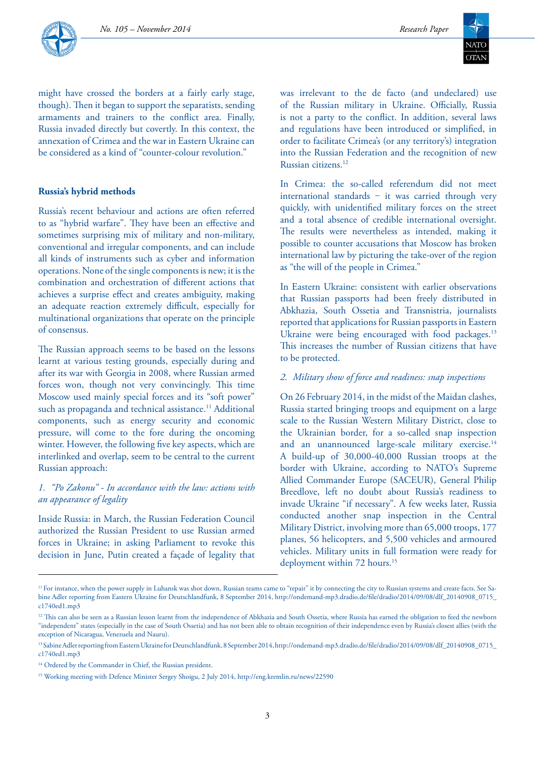



might have crossed the borders at a fairly early stage, though). Then it began to support the separatists, sending armaments and trainers to the conflict area. Finally, Russia invaded directly but covertly. In this context, the annexation of Crimea and the war in Eastern Ukraine can be considered as a kind of "counter-colour revolution."

#### **Russia's hybrid methods**

Russia's recent behaviour and actions are often referred to as "hybrid warfare". They have been an effective and sometimes surprising mix of military and non-military, conventional and irregular components, and can include all kinds of instruments such as cyber and information operations. None of the single components is new; it is the combination and orchestration of different actions that achieves a surprise effect and creates ambiguity, making an adequate reaction extremely difficult, especially for multinational organizations that operate on the principle of consensus.

The Russian approach seems to be based on the lessons learnt at various testing grounds, especially during and after its war with Georgia in 2008, where Russian armed forces won, though not very convincingly. This time Moscow used mainly special forces and its "soft power" such as propaganda and technical assistance.<sup>11</sup> Additional components, such as energy security and economic pressure, will come to the fore during the oncoming winter. However, the following five key aspects, which are interlinked and overlap, seem to be central to the current Russian approach:

## *1. "Po Zakonu" - In accordance with the law: actions with an appearance of legality*

Inside Russia: in March, the Russian Federation Council authorized the Russian President to use Russian armed forces in Ukraine; in asking Parliament to revoke this decision in June, Putin created a façade of legality that was irrelevant to the de facto (and undeclared) use of the Russian military in Ukraine. Officially, Russia is not a party to the conflict. In addition, several laws and regulations have been introduced or simplified, in order to facilitate Crimea's (or any territory's) integration into the Russian Federation and the recognition of new Russian citizens.12

In Crimea: the so-called referendum did not meet international standards - it was carried through very quickly, with unidentified military forces on the street and a total absence of credible international oversight. The results were nevertheless as intended, making it possible to counter accusations that Moscow has broken international law by picturing the take-over of the region as "the will of the people in Crimea."

In Eastern Ukraine: consistent with earlier observations that Russian passports had been freely distributed in Abkhazia, South Ossetia and Transnistria, journalists reported that applications for Russian passports in Eastern Ukraine were being encouraged with food packages.<sup>13</sup> This increases the number of Russian citizens that have to be protected.

#### *2. Military show of force and readiness: snap inspections*

On 26 February 2014, in the midst of the Maidan clashes, Russia started bringing troops and equipment on a large scale to the Russian Western Military District, close to the Ukrainian border, for a so-called snap inspection and an unannounced large-scale military exercise.<sup>14</sup> A build-up of 30,000-40,000 Russian troops at the border with Ukraine, according to NATO's Supreme Allied Commander Europe (SACEUR), General Philip Breedlove, left no doubt about Russia's readiness to invade Ukraine "if necessary". A few weeks later, Russia conducted another snap inspection in the Central Military District, involving more than 65,000 troops, 177 planes, 56 helicopters, and 5,500 vehicles and armoured vehicles. Military units in full formation were ready for deployment within 72 hours.<sup>15</sup>

<sup>&</sup>lt;sup>11</sup> For instance, when the power supply in Luhansk was shot down, Russian teams came to "repair" it by connecting the city to Russian systems and create facts. See Sabine Adler reporting from Eastern Ukraine for Deutschlandfunk, 8 September 2014, http://ondemand-mp3.dradio.de/file/dradio/2014/09/08/dlf\_20140908\_0715\_ c1740ed1.mp3

<sup>&</sup>lt;sup>12</sup> This can also be seen as a Russian lesson learnt from the independence of Abkhazia and South Ossetia, where Russia has earned the obligation to feed the newborn "independent" states (especially in the case of South Ossetia) and has not been able to obtain recognition of their independence even by Russia's closest allies (with the exception of Nicaragua, Venezuela and Nauru).

<sup>13</sup> Sabine Adler reporting from Eastern Ukraine for Deutschlandfunk, 8 September 2014, http://ondemand-mp3.dradio.de/file/dradio/2014/09/08/dlf\_20140908\_0715\_ c1740ed1.mp3

<sup>&</sup>lt;sup>14</sup> Ordered by the Commander in Chief, the Russian president.

<sup>15</sup> Working meeting with Defence Minister Sergey Shoigu, 2 July 2014, http://eng.kremlin.ru/news/22590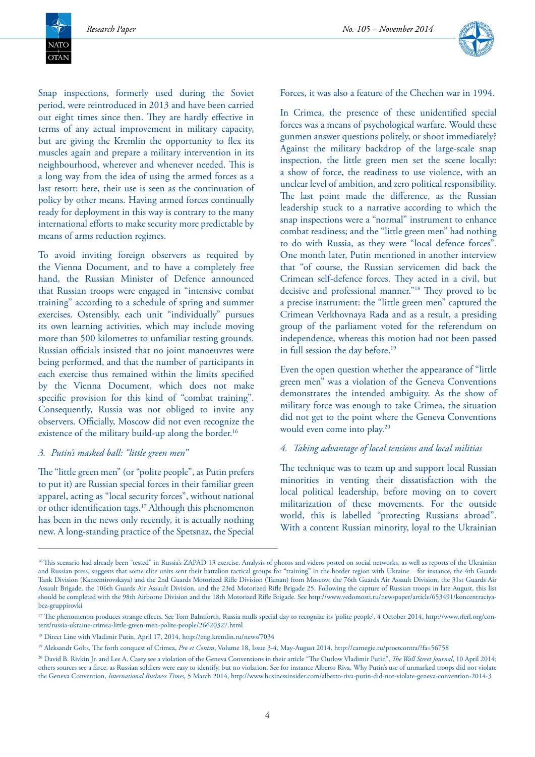NATC **OTAN** 



Snap inspections, formerly used during the Soviet period, were reintroduced in 2013 and have been carried out eight times since then. They are hardly effective in terms of any actual improvement in military capacity, but are giving the Kremlin the opportunity to flex its muscles again and prepare a military intervention in its neighbourhood, wherever and whenever needed. This is a long way from the idea of using the armed forces as a last resort: here, their use is seen as the continuation of policy by other means. Having armed forces continually ready for deployment in this way is contrary to the many international efforts to make security more predictable by means of arms reduction regimes.

To avoid inviting foreign observers as required by the Vienna Document, and to have a completely free hand, the Russian Minister of Defence announced that Russian troops were engaged in "intensive combat training" according to a schedule of spring and summer exercises. Ostensibly, each unit "individually" pursues its own learning activities, which may include moving more than 500 kilometres to unfamiliar testing grounds. Russian officials insisted that no joint manoeuvres were being performed, and that the number of participants in each exercise thus remained within the limits specified by the Vienna Document, which does not make specific provision for this kind of "combat training". Consequently, Russia was not obliged to invite any observers. Officially, Moscow did not even recognize the existence of the military build-up along the border.<sup>16</sup>

#### *3. Putin's masked ball: "little green men"*

The "little green men" (or "polite people", as Putin prefers to put it) are Russian special forces in their familiar green apparel, acting as "local security forces", without national or other identification tags.17 Although this phenomenon has been in the news only recently, it is actually nothing new. A long-standing practice of the Spetsnaz, the Special Forces, it was also a feature of the Chechen war in 1994.

In Crimea, the presence of these unidentified special forces was a means of psychological warfare. Would these gunmen answer questions politely, or shoot immediately? Against the military backdrop of the large-scale snap inspection, the little green men set the scene locally: a show of force, the readiness to use violence, with an unclear level of ambition, and zero political responsibility. The last point made the difference, as the Russian leadership stuck to a narrative according to which the snap inspections were a "normal" instrument to enhance combat readiness; and the "little green men" had nothing to do with Russia, as they were "local defence forces". One month later, Putin mentioned in another interview that "of course, the Russian servicemen did back the Crimean self-defence forces. They acted in a civil, but decisive and professional manner."18 They proved to be a precise instrument: the "little green men" captured the Crimean Verkhovnaya Rada and as a result, a presiding group of the parliament voted for the referendum on independence, whereas this motion had not been passed in full session the day before.<sup>19</sup>

Even the open question whether the appearance of "little green men" was a violation of the Geneva Conventions demonstrates the intended ambiguity. As the show of military force was enough to take Crimea, the situation did not get to the point where the Geneva Conventions would even come into play.20

#### *4. Taking advantage of local tensions and local militias*

The technique was to team up and support local Russian minorities in venting their dissatisfaction with the local political leadership, before moving on to covert militarization of these movements. For the outside world, this is labelled "protecting Russians abroad". With a content Russian minority, loyal to the Ukrainian

<sup>&</sup>lt;sup>16</sup>This scenario had already been "tested" in Russia's ZAPAD 13 exercise. Analysis of photos and videos posted on social networks, as well as reports of the Ukrainian and Russian press, suggests that some elite units sent their battalion tactical groups for "training" in the border region with Ukraine - for instance, the 4th Guards Tank Division (Kantemirovskaya) and the 2nd Guards Motorized Rifle Division (Taman) from Moscow, the 76th Guards Air Assault Division, the 31st Guards Air Assault Brigade, the 106th Guards Air Assault Division, and the 23rd Motorized Rifle Brigade 25. Following the capture of Russian troops in late August, this list should be completed with the 98th Airborne Division and the 18th Motorized Rifle Brigade. See http://www.vedomosti.ru/newspaper/article/653491/koncentraciyabez-gruppirovki

<sup>&</sup>lt;sup>17</sup> The phenomenon produces strange effects. See Tom Balmforth, Russia mulls special day to recognize its 'polite people', 4 October 2014, http://www.rferl.org/content/russia-ukraine-crimea-little-green-men-polite-people/26620327.html

<sup>18</sup> Direct Line with Vladimir Putin, April 17, 2014, http://eng.kremlin.ru/news/7034

<sup>19</sup> Aleksandr Golts, The forth conquest of Crimea, *Pro et Contra*, Volume 18, Issue 3-4, May-August 2014, http://carnegie.ru/proetcontra/?fa=56758

<sup>&</sup>lt;sup>20</sup> David B. Rivkin Jr. and Lee A. Casey see a violation of the Geneva Conventions in their article "The Outlow Vladimir Putin", *The Wall Street Journal*, 10 April 2014; others sources see a farce, as Russian soldiers were easy to identify, but no violation. See for instance Alberto Riva, Why Putin's use of unmarked troops did not violate the Geneva Convention, *International Business Times*, 5 March 2014, http://www.businessinsider.com/alberto-riva-putin-did-not-violate-geneva-convention-2014-3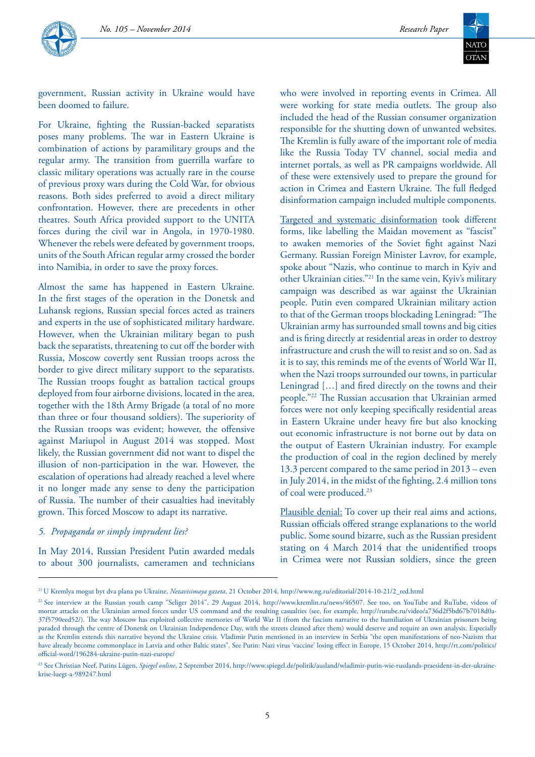

government, Russian activity in Ukraine would have been doomed to failure.

For Ukraine, fighting the Russian-backed separatists poses many problems. The war in Eastern Ukraine is combination of actions by paramilitary groups and the regular army. The transition from guerrilla warfare to classic military operations was actually rare in the course of previous proxy wars during the Cold War, for obvious reasons. Both sides preferred to avoid a direct military confrontation. However, there are precedents in other theatres. South Africa provided support to the UNITA forces during the civil war in Angola, in 1970-1980. Whenever the rebels were defeated by government troops, units of the South African regular army crossed the border into Namibia, in order to save the proxy forces.

Almost the same has happened in Eastern Ukraine. In the first stages of the operation in the Donetsk and Luhansk regions, Russian special forces acted as trainers and experts in the use of sophisticated military hardware. However, when the Ukrainian military began to push back the separatists, threatening to cut off the border with Russia, Moscow covertly sent Russian troops across the border to give direct military support to the separatists. The Russian troops fought as battalion tactical groups deployed from four airborne divisions, located in the area, together with the 18th Army Brigade (a total of no more than three or four thousand soldiers). The superiority of the Russian troops was evident; however, the offensive against Mariupol in August 2014 was stopped. Most likely, the Russian government did not want to dispel the illusion of non-participation in the war. However, the escalation of operations had already reached a level where it no longer made any sense to deny the participation of Russia. The number of their casualties had inevitably grown. This forced Moscow to adapt its narrative.

#### *5. Propaganda or simply imprudent lies?*

In May 2014, Russian President Putin awarded medals to about 300 journalists, cameramen and technicians who were involved in reporting events in Crimea. All were working for state media outlets. The group also included the head of the Russian consumer organization responsible for the shutting down of unwanted websites. The Kremlin is fully aware of the important role of media like the Russia Today TV channel, social media and internet portals, as well as PR campaigns worldwide. All of these were extensively used to prepare the ground for action in Crimea and Eastern Ukraine. The full fledged disinformation campaign included multiple components.

Targeted and systematic disinformation took different forms, like labelling the Maidan movement as "fascist" to awaken memories of the Soviet fight against Nazi Germany. Russian Foreign Minister Lavrov, for example, spoke about "Nazis, who continue to march in Kyiv and other Ukrainian cities."21 In the same vein, Kyiv's military campaign was described as war against the Ukrainian people. Putin even compared Ukrainian military action to that of the German troops blockading Leningrad: "The Ukrainian army has surrounded small towns and big cities and is firing directly at residential areas in order to destroy infrastructure and crush the will to resist and so on. Sad as it is to say, this reminds me of the events of World War II, when the Nazi troops surrounded our towns, in particular Leningrad […] and fired directly on the towns and their people."22 The Russian accusation that Ukrainian armed forces were not only keeping specifically residential areas in Eastern Ukraine under heavy fire but also knocking out economic infrastructure is not borne out by data on the output of Eastern Ukrainian industry. For example the production of coal in the region declined by merely 13.3 percent compared to the same period in 2013 – even in July 2014, in the midst of the fighting, 2.4 million tons of coal were produced.<sup>23</sup>

Plausible denial: To cover up their real aims and actions, Russian officials offered strange explanations to the world public. Some sound bizarre, such as the Russian president stating on 4 March 2014 that the unidentified troops in Crimea were not Russian soldiers, since the green

<sup>21</sup> U Kremlya mogut byt dva plana po Ukraine, *Nezavisimaya gazeta*, 21 October 2014, http://www.ng.ru/editorial/2014-10-21/2\_red.html

<sup>&</sup>lt;sup>22</sup> See interview at the Russian youth camp "Seliger 2014", 29 August 2014, http://www.kremlin.ru/news/46507. See too, on YouTube and RuTube, videos of mortar attacks on the Ukrainian armed forces under US command and the resulting casualties (see, for example, http://rutube.ru/video/a736d2f5bd67b7018d0a-37f5790eed52/). The way Moscow has exploited collective memories of World War II (from the fascism narrative to the humiliation of Ukrainian prisoners being paraded through the centre of Donetsk on Ukrainian Independence Day, with the streets cleaned after them) would deserve and require an own analysis. Especially as the Kremlin extends this narrative beyond the Ukraine crisis. Vladimir Putin mentioned in an interview in Serbia "the open manifestations of neo-Nazism that have already become commonplace in Latvia and other Baltic states". See Putin: Nazi virus 'vaccine' losing effect in Europe, 15 October 2014, http://rt.com/politics/ official-word/196284-ukraine-putin-nazi-europe/

<sup>23</sup> See Christian Neef, Putins Lügen, *Spiegel online*, 2 September 2014, http://www.spiegel.de/politik/ausland/wladimir-putin-wie-russlands-praesident-in-der-ukrainekrise-luegt-a-989247.html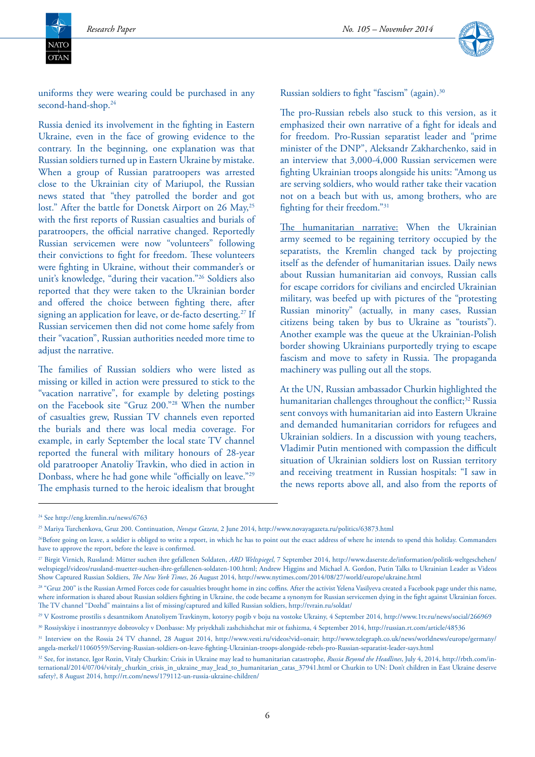

uniforms they were wearing could be purchased in any second-hand-shop.<sup>24</sup>

Russia denied its involvement in the fighting in Eastern Ukraine, even in the face of growing evidence to the contrary. In the beginning, one explanation was that Russian soldiers turned up in Eastern Ukraine by mistake. When a group of Russian paratroopers was arrested close to the Ukrainian city of Mariupol, the Russian news stated that "they patrolled the border and got lost." After the battle for Donetsk Airport on 26 May,<sup>25</sup> with the first reports of Russian casualties and burials of paratroopers, the official narrative changed. Reportedly Russian servicemen were now "volunteers" following their convictions to fight for freedom. These volunteers were fighting in Ukraine, without their commander's or unit's knowledge, "during their vacation."26 Soldiers also reported that they were taken to the Ukrainian border and offered the choice between fighting there, after signing an application for leave, or de-facto deserting.<sup>27</sup> If Russian servicemen then did not come home safely from their "vacation", Russian authorities needed more time to adjust the narrative.

The families of Russian soldiers who were listed as missing or killed in action were pressured to stick to the "vacation narrative", for example by deleting postings on the Facebook site "Gruz 200."28 When the number of casualties grew, Russian TV channels even reported the burials and there was local media coverage. For example, in early September the local state TV channel reported the funeral with military honours of 28-year old paratrooper Anatoliy Travkin, who died in action in Donbass, where he had gone while "officially on leave."29 The emphasis turned to the heroic idealism that brought

Russian soldiers to fight "fascism" (again).<sup>30</sup>

The pro-Russian rebels also stuck to this version, as it emphasized their own narrative of a fight for ideals and for freedom. Pro-Russian separatist leader and "prime minister of the DNP", Aleksandr Zakharchenko, said in an interview that 3,000-4,000 Russian servicemen were fighting Ukrainian troops alongside his units: "Among us are serving soldiers, who would rather take their vacation not on a beach but with us, among brothers, who are fighting for their freedom."31

The humanitarian narrative: When the Ukrainian army seemed to be regaining territory occupied by the separatists, the Kremlin changed tack by projecting itself as the defender of humanitarian issues. Daily news about Russian humanitarian aid convoys, Russian calls for escape corridors for civilians and encircled Ukrainian military, was beefed up with pictures of the "protesting Russian minority" (actually, in many cases, Russian citizens being taken by bus to Ukraine as "tourists"). Another example was the queue at the Ukrainian-Polish border showing Ukrainians purportedly trying to escape fascism and move to safety in Russia. The propaganda machinery was pulling out all the stops.

At the UN, Russian ambassador Churkin highlighted the humanitarian challenges throughout the conflict;<sup>32</sup> Russia sent convoys with humanitarian aid into Eastern Ukraine and demanded humanitarian corridors for refugees and Ukrainian soldiers. In a discussion with young teachers, Vladimir Putin mentioned with compassion the difficult situation of Ukrainian soldiers lost on Russian territory and receiving treatment in Russian hospitals: "I saw in the news reports above all, and also from the reports of

<sup>&</sup>lt;sup>24</sup> See http://eng.kremlin.ru/news/6763

<sup>25</sup> Mariya Turchenkova, Gruz 200. Continuation, *Novaya Gazeta*, 2 June 2014, http://www.novayagazeta.ru/politics/63873.html

<sup>&</sup>lt;sup>26</sup>Before going on leave, a soldier is obliged to write a report, in which he has to point out the exact address of where he intends to spend this holiday. Commanders have to approve the report, before the leave is confirmed.

<sup>27</sup> Birgit Virnich, Russland: Mütter suchen ihre gefallenen Soldaten, *ARD Weltspiegel*, 7 September 2014, http://www.daserste.de/information/politik-weltgeschehen/ weltspiegel/videos/russland-muetter-suchen-ihre-gefallenen-soldaten-100.html; Andrew Higgins and Michael A. Gordon, Putin Talks to Ukrainian Leader as Videos Show Captured Russian Soldiers, *The New York Times*, 26 August 2014, http://www.nytimes.com/2014/08/27/world/europe/ukraine.html

<sup>&</sup>lt;sup>28</sup> "Gruz 200" is the Russian Armed Forces code for casualties brought home in zinc coffins. After the activist Yelena Vasilyeva created a Facebook page under this name, where information is shared about Russian soldiers fighting in Ukraine, the code became a synonym for Russian servicemen dying in the fight against Ukrainian forces. The TV channel "Dozhd" maintains a list of missing/captured and killed Russian soldiers, http://tvrain.ru/soldat/

<sup>29</sup> V Kostrome prostilis s desantnikom Anatoliyem Travkinym, kotoryy pogib v boju na vostoke Ukrainy, 4 September 2014, http://www.1tv.ru/news/social/266969 30 Rossiyskiye i inostrannyye dobrovolcy v Donbasse: My priyekhali zashchishchat mir ot fashizma, 4 September 2014, http://russian.rt.com/article/48536

<sup>31</sup> Interview on the Rossia 24 TV channel, 28 August 2014, http://www.vesti.ru/videos?vid=onair; http://www.telegraph.co.uk/news/worldnews/europe/germany/ angela-merkel/11060559/Serving-Russian-soldiers-on-leave-fighting-Ukrainian-troops-alongside-rebels-pro-Russian-separatist-leader-says.html

<sup>&</sup>lt;sup>32</sup> See, for instance, Igor Rozin, Vitaly Churkin: Crisis in Ukraine may lead to humanitarian catastrophe, *Russia Beyond the Headlines*, July 4, 2014, http://rbth.com/international/2014/07/04/vitaly\_churkin\_crisis\_in\_ukraine\_may\_lead\_to\_humanitarian\_catas\_37941.html or Churkin to UN: Don't children in East Ukraine deserve safety?, 8 August 2014, http://rt.com/news/179112-un-russia-ukraine-children/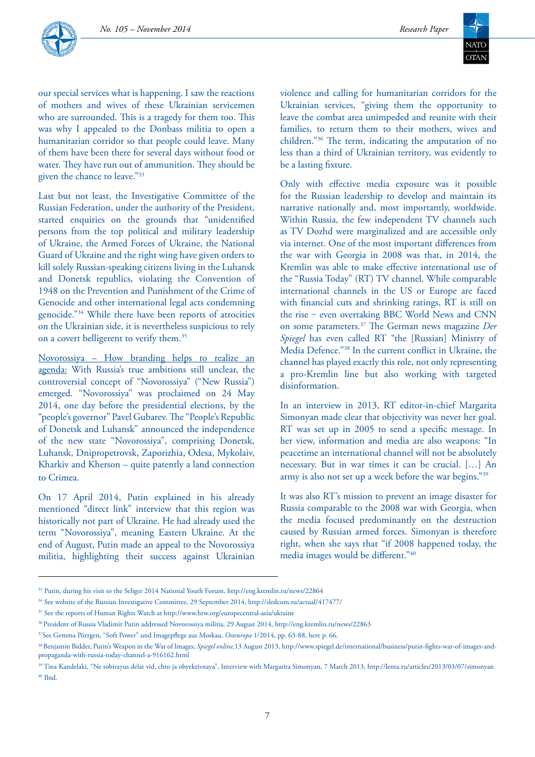



our special services what is happening. I saw the reactions of mothers and wives of these Ukrainian servicemen who are surrounded. This is a tragedy for them too. This was why I appealed to the Donbass militia to open a humanitarian corridor so that people could leave. Many of them have been there for several days without food or water. They have run out of ammunition. They should be given the chance to leave."33

Last but not least, the Investigative Committee of the Russian Federation, under the authority of the President, started enquiries on the grounds that "unidentified persons from the top political and military leadership of Ukraine, the Armed Forces of Ukraine, the National Guard of Ukraine and the right wing have given orders to kill solely Russian-speaking citizens living in the Luhansk and Donetsk republics, violating the Convention of 1948 on the Prevention and Punishment of the Crime of Genocide and other international legal acts condemning genocide."34 While there have been reports of atrocities on the Ukrainian side, it is nevertheless suspicious to rely on a covert belligerent to verify them.<sup>35</sup>

Novorossiya – How branding helps to realize an agenda: With Russia's true ambitions still unclear, the controversial concept of "Novorossiya" ("New Russia") emerged. "Novorossiya" was proclaimed on 24 May 2014, one day before the presidential elections, by the "people's governor" Pavel Gubarev. The "People's Republic of Donetsk and Luhansk" announced the independence of the new state "Novorossiya", comprising Donetsk, Luhansk, Dnipropetrovsk, Zaporizhia, Odesa, Mykolaiv, Kharkiv and Kherson – quite patently a land connection to Crimea.

On 17 April 2014, Putin explained in his already mentioned "direct link" interview that this region was historically not part of Ukraine. He had already used the term "Novorossiya", meaning Eastern Ukraine. At the end of August, Putin made an appeal to the Novorossiya militia, highlighting their success against Ukrainian

violence and calling for humanitarian corridors for the Ukrainian services, "giving them the opportunity to leave the combat area unimpeded and reunite with their families, to return them to their mothers, wives and children."36 The term, indicating the amputation of no less than a third of Ukrainian territory, was evidently to be a lasting fixture.

Only with effective media exposure was it possible for the Russian leadership to develop and maintain its narrative nationally and, most importantly, worldwide. Within Russia, the few independent TV channels such as TV Dozhd were marginalized and are accessible only via internet. One of the most important differences from the war with Georgia in 2008 was that, in 2014, the Kremlin was able to make effective international use of the "Russia Today" (RT) TV channel. While comparable international channels in the US or Europe are faced with financial cuts and shrinking ratings, RT is still on the rise - even overtaking BBC World News and CNN on some parameters.37 The German news magazine *Der Spiegel* has even called RT "the [Russian] Ministry of Media Defence."38 In the current conflict in Ukraine, the channel has played exactly this role, not only representing a pro-Kremlin line but also working with targeted disinformation.

In an interview in 2013, RT editor-in-chief Margarita Simonyan made clear that objectivity was never her goal. RT was set up in 2005 to send a specific message. In her view, information and media are also weapons: "In peacetime an international channel will not be absolutely necessary. But in war times it can be crucial. […] An army is also not set up a week before the war begins."39

It was also RT's mission to prevent an image disaster for Russia comparable to the 2008 war with Georgia, when the media focused predominantly on the destruction caused by Russian armed forces. Simonyan is therefore right, when she says that "if 2008 happened today, the media images would be different."40

<sup>33</sup> Putin, during his visit to the Seliger 2014 National Youth Forum, http://eng.kremlin.ru/news/22864

<sup>34</sup> See website of the Russian Investigative Committee, 29 September 2014, http://sledcom.ru/actual/417477/

<sup>35</sup> See the reports of Human Rights Watch at http://www.hrw.org/europecentral-asia/ukraine

<sup>36</sup> President of Russia Vladimir Putin addressed Novorossiya militia, 29 August 2014, http://eng.kremlin.ru/news/22863

<sup>37</sup>See Gemma Pörzgen, "Soft Power" und Imagepflege aus Moskau, *Osteuropa* 1/2014, pp. 63-88, here p. 66.

<sup>38</sup> Benjamin Bidder, Putin's Weapon in the War of Images, *Spiegel online,*13 August 2013, http://www.spiegel.de/international/business/putin-fights-war-of-images-andpropaganda-with-russia-today-channel-a-916162.html

<sup>39</sup> Tina Kandelaki, "Ne sobirayus delat vid, chto ja obyektivnaya", Interview with Margarita Simonyan, 7 March 2013, http://lenta.ru/articles/2013/03/07/simonyan  $40$  Ibid.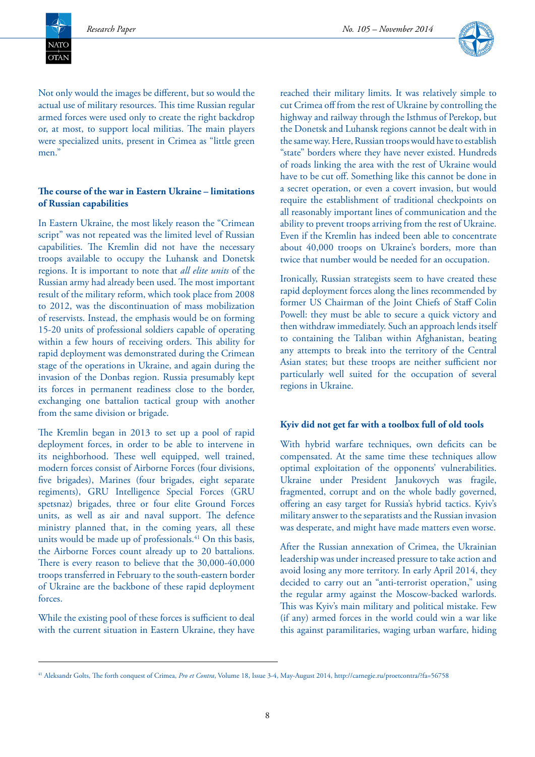

Not only would the images be different, but so would the actual use of military resources. This time Russian regular armed forces were used only to create the right backdrop or, at most, to support local militias. The main players were specialized units, present in Crimea as "little green men."

### **The course of the war in Eastern Ukraine – limitations of Russian capabilities**

In Eastern Ukraine, the most likely reason the "Crimean script" was not repeated was the limited level of Russian capabilities. The Kremlin did not have the necessary troops available to occupy the Luhansk and Donetsk regions. It is important to note that *all elite units* of the Russian army had already been used. The most important result of the military reform, which took place from 2008 to 2012, was the discontinuation of mass mobilization of reservists. Instead, the emphasis would be on forming 15-20 units of professional soldiers capable of operating within a few hours of receiving orders. This ability for rapid deployment was demonstrated during the Crimean stage of the operations in Ukraine, and again during the invasion of the Donbas region. Russia presumably kept its forces in permanent readiness close to the border, exchanging one battalion tactical group with another from the same division or brigade.

The Kremlin began in 2013 to set up a pool of rapid deployment forces, in order to be able to intervene in its neighborhood. These well equipped, well trained, modern forces consist of Airborne Forces (four divisions, five brigades), Marines (four brigades, eight separate regiments), GRU Intelligence Special Forces (GRU spetsnaz) brigades, three or four elite Ground Forces units, as well as air and naval support. The defence ministry planned that, in the coming years, all these units would be made up of professionals.<sup>41</sup> On this basis, the Airborne Forces count already up to 20 battalions. There is every reason to believe that the 30,000-40,000 troops transferred in February to the south-eastern border of Ukraine are the backbone of these rapid deployment forces.

While the existing pool of these forces is sufficient to deal with the current situation in Eastern Ukraine, they have reached their military limits. It was relatively simple to cut Crimea off from the rest of Ukraine by controlling the highway and railway through the Isthmus of Perekop, but the Donetsk and Luhansk regions cannot be dealt with in the same way. Here, Russian troops would have to establish "state" borders where they have never existed. Hundreds of roads linking the area with the rest of Ukraine would have to be cut off. Something like this cannot be done in a secret operation, or even a covert invasion, but would require the establishment of traditional checkpoints on all reasonably important lines of communication and the ability to prevent troops arriving from the rest of Ukraine. Even if the Kremlin has indeed been able to concentrate about 40,000 troops on Ukraine's borders, more than twice that number would be needed for an occupation.

Ironically, Russian strategists seem to have created these rapid deployment forces along the lines recommended by former US Chairman of the Joint Chiefs of Staff Colin Powell: they must be able to secure a quick victory and then withdraw immediately. Such an approach lends itself to containing the Taliban within Afghanistan, beating any attempts to break into the territory of the Central Asian states; but these troops are neither sufficient nor particularly well suited for the occupation of several regions in Ukraine.

#### **Kyiv did not get far with a toolbox full of old tools**

With hybrid warfare techniques, own deficits can be compensated. At the same time these techniques allow optimal exploitation of the opponents' vulnerabilities. Ukraine under President Janukovych was fragile, fragmented, corrupt and on the whole badly governed, offering an easy target for Russia's hybrid tactics. Kyiv's military answer to the separatists and the Russian invasion was desperate, and might have made matters even worse.

After the Russian annexation of Crimea, the Ukrainian leadership was under increased pressure to take action and avoid losing any more territory. In early April 2014, they decided to carry out an "anti-terrorist operation," using the regular army against the Moscow-backed warlords. This was Kyiv's main military and political mistake. Few (if any) armed forces in the world could win a war like this against paramilitaries, waging urban warfare, hiding

<sup>41</sup> Aleksandr Golts, The forth conquest of Crimea, *Pro et Contra*, Volume 18, Issue 3-4, May-August 2014, http://carnegie.ru/proetcontra/?fa=56758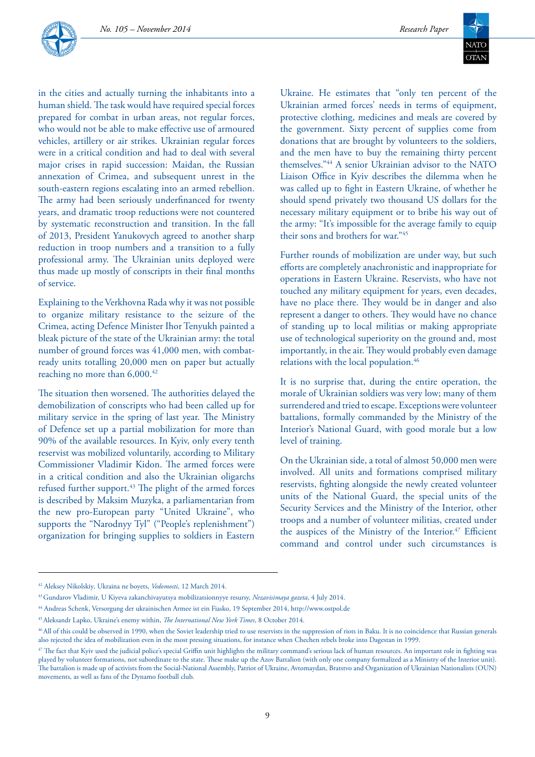

in the cities and actually turning the inhabitants into a human shield. The task would have required special forces prepared for combat in urban areas, not regular forces, who would not be able to make effective use of armoured vehicles, artillery or air strikes. Ukrainian regular forces were in a critical condition and had to deal with several major crises in rapid succession: Maidan, the Russian annexation of Crimea, and subsequent unrest in the south-eastern regions escalating into an armed rebellion. The army had been seriously underfinanced for twenty years, and dramatic troop reductions were not countered by systematic reconstruction and transition. In the fall of 2013, President Yanukovych agreed to another sharp reduction in troop numbers and a transition to a fully professional army. The Ukrainian units deployed were thus made up mostly of conscripts in their final months of service.

Explaining to the Verkhovna Rada why it was not possible to organize military resistance to the seizure of the Crimea, acting Defence Minister Ihor Tenyukh painted a bleak picture of the state of the Ukrainian army: the total number of ground forces was 41,000 men, with combatready units totalling 20,000 men on paper but actually reaching no more than 6,000.<sup>42</sup>

The situation then worsened. The authorities delayed the demobilization of conscripts who had been called up for military service in the spring of last year. The Ministry of Defence set up a partial mobilization for more than 90% of the available resources. In Kyiv, only every tenth reservist was mobilized voluntarily, according to Military Commissioner Vladimir Kidon. The armed forces were in a critical condition and also the Ukrainian oligarchs refused further support.<sup>43</sup> The plight of the armed forces is described by Maksim Muzyka, a parliamentarian from the new pro-European party "United Ukraine", who supports the "Narodnyy Tyl" ("People's replenishment") organization for bringing supplies to soldiers in Eastern

Ukraine. He estimates that "only ten percent of the Ukrainian armed forces' needs in terms of equipment, protective clothing, medicines and meals are covered by the government. Sixty percent of supplies come from donations that are brought by volunteers to the soldiers, and the men have to buy the remaining thirty percent themselves."44 A senior Ukrainian advisor to the NATO Liaison Office in Kyiv describes the dilemma when he was called up to fight in Eastern Ukraine, of whether he should spend privately two thousand US dollars for the necessary military equipment or to bribe his way out of the army: "It's impossible for the average family to equip their sons and brothers for war."45

Further rounds of mobilization are under way, but such efforts are completely anachronistic and inappropriate for operations in Eastern Ukraine. Reservists, who have not touched any military equipment for years, even decades, have no place there. They would be in danger and also represent a danger to others. They would have no chance of standing up to local militias or making appropriate use of technological superiority on the ground and, most importantly, in the air. They would probably even damage relations with the local population.46

It is no surprise that, during the entire operation, the morale of Ukrainian soldiers was very low; many of them surrendered and tried to escape. Exceptions were volunteer battalions, formally commanded by the Ministry of the Interior's National Guard, with good morale but a low level of training.

On the Ukrainian side, a total of almost 50,000 men were involved. All units and formations comprised military reservists, fighting alongside the newly created volunteer units of the National Guard, the special units of the Security Services and the Ministry of the Interior, other troops and a number of volunteer militias, created under the auspices of the Ministry of the Interior.<sup>47</sup> Efficient command and control under such circumstances is

<sup>42</sup> Aleksey Nikolskiy*,* Ukraina ne boyets, *Vedomosti*, 12 March 2014.

<sup>43</sup> Gundarov Vladimir, U Kiyeva zakanchivayutsya mobilizatsionnyye resursy, *Nezavisimaya gazeta*, 4 July 2014.

<sup>44</sup> Andreas Schenk, Versorgung der ukrainischen Armee ist ein Fiasko, 19 September 2014, http://www.ostpol.de

<sup>45</sup> Aleksandr Lapko, Ukraine's enemy within, *The International New York Times*, 8 October 2014.

<sup>&</sup>lt;sup>46</sup> All of this could be observed in 1990, when the Soviet leadership tried to use reservists in the suppression of riots in Baku. It is no coincidence that Russian generals also rejected the idea of mobilization even in the most pressing situations, for instance when Chechen rebels broke into Dagestan in 1999.

<sup>47</sup> The fact that Kyiv used the judicial police's special Griffin unit highlights the military command's serious lack of human resources. An important role in fighting was played by volunteer formations, not subordinate to the state. These make up the Azov Battalion (with only one company formalized as a Ministry of the Interior unit). The battalion is made up of activists from the Social-National Assembly, Patriot of Ukraine, Avtomaydan, Bratstvo and Organization of Ukrainian Nationalists (OUN) movements, as well as fans of the Dynamo football club.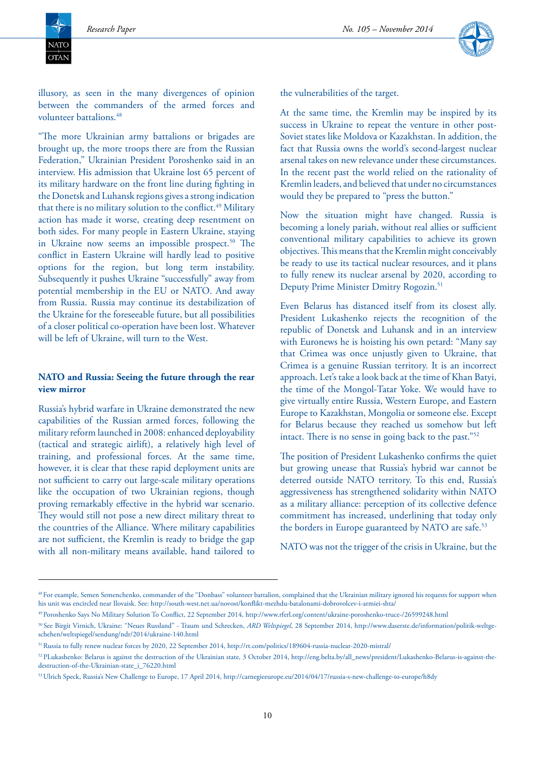NATC  $\overline{\text{OTAN}}$ 



illusory, as seen in the many divergences of opinion between the commanders of the armed forces and volunteer battalions.48

"The more Ukrainian army battalions or brigades are brought up, the more troops there are from the Russian Federation," Ukrainian President Poroshenko said in an interview. His admission that Ukraine lost 65 percent of its military hardware on the front line during fighting in the Donetsk and Luhansk regions gives a strong indication that there is no military solution to the conflict.<sup>49</sup> Military action has made it worse, creating deep resentment on both sides. For many people in Eastern Ukraine, staying in Ukraine now seems an impossible prospect.<sup>50</sup> The conflict in Eastern Ukraine will hardly lead to positive options for the region, but long term instability. Subsequently it pushes Ukraine "successfully" away from potential membership in the EU or NATO. And away from Russia. Russia may continue its destabilization of the Ukraine for the foreseeable future, but all possibilities of a closer political co-operation have been lost. Whatever will be left of Ukraine, will turn to the West.

#### **NATO and Russia: Seeing the future through the rear view mirror**

Russia's hybrid warfare in Ukraine demonstrated the new capabilities of the Russian armed forces, following the military reform launched in 2008: enhanced deployability (tactical and strategic airlift), a relatively high level of training, and professional forces. At the same time, however, it is clear that these rapid deployment units are not sufficient to carry out large-scale military operations like the occupation of two Ukrainian regions, though proving remarkably effective in the hybrid war scenario. They would still not pose a new direct military threat to the countries of the Alliance. Where military capabilities are not sufficient, the Kremlin is ready to bridge the gap with all non-military means available, hand tailored to

the vulnerabilities of the target.

At the same time, the Kremlin may be inspired by its success in Ukraine to repeat the venture in other post-Soviet states like Moldova or Kazakhstan. In addition, the fact that Russia owns the world's second-largest nuclear arsenal takes on new relevance under these circumstances. In the recent past the world relied on the rationality of Kremlin leaders, and believed that under no circumstances would they be prepared to "press the button."

Now the situation might have changed. Russia is becoming a lonely pariah, without real allies or sufficient conventional military capabilities to achieve its grown objectives. This means that the Kremlin might conceivably be ready to use its tactical nuclear resources, and it plans to fully renew its nuclear arsenal by 2020, according to Deputy Prime Minister Dmitry Rogozin.51

Even Belarus has distanced itself from its closest ally. President Lukashenko rejects the recognition of the republic of Donetsk and Luhansk and in an interview with Euronews he is hoisting his own petard: "Many say that Crimea was once unjustly given to Ukraine, that Crimea is a genuine Russian territory. It is an incorrect approach. Let's take a look back at the time of Khan Batyi, the time of the Mongol-Tatar Yoke. We would have to give virtually entire Russia, Western Europe, and Eastern Europe to Kazakhstan, Mongolia or someone else. Except for Belarus because they reached us somehow but left intact. There is no sense in going back to the past."52

The position of President Lukashenko confirms the quiet but growing unease that Russia's hybrid war cannot be deterred outside NATO territory. To this end, Russia's aggressiveness has strengthened solidarity within NATO as a military alliance: perception of its collective defence commitment has increased, underlining that today only the borders in Europe guaranteed by NATO are safe.<sup>53</sup>

NATO was not the trigger of the crisis in Ukraine, but the

<sup>48</sup> For example, Semen Semenchenko, commander of the "Donbass" volunteer battalion, complained that the Ukrainian military ignored his requests for support when his unit was encircled near Ilovaisk. See: http://south-west.net.ua/novost/konflikt-mezhdu-batalonami-dobrovolcev-i-armiei-shta/

<sup>49</sup> Poroshenko Says No Military Solution To Conflict, 22 September 2014, http://www.rferl.org/content/ukraine-poroshenko-truce-/26599248.html

<sup>50</sup> See Birgit Virnich, Ukraine: "Neues Russland" - Traum und Schrecken, *ARD Weltspiegel*, 28 September 2014, http://www.daserste.de/information/politik-weltgeschehen/weltspiegel/sendung/ndr/2014/ukraine-140.html

<sup>51</sup> Russia to fully renew nuclear forces by 2020, 22 September 2014, http://rt.com/politics/189604-russia-nuclear-2020-mistral/

<sup>52</sup> PLukashenko: Belarus is against the destruction of the Ukrainian state, 3 October 2014, http://eng.belta.by/all\_news/president/Lukashenko-Belarus-is-against-thedestruction-of-the-Ukrainian-state\_i\_76220.html

<sup>53</sup> Ulrich Speck, Russia's New Challenge to Europe, 17 April 2014, http://carnegieeurope.eu/2014/04/17/russia-s-new-challenge-to-europe/h8dy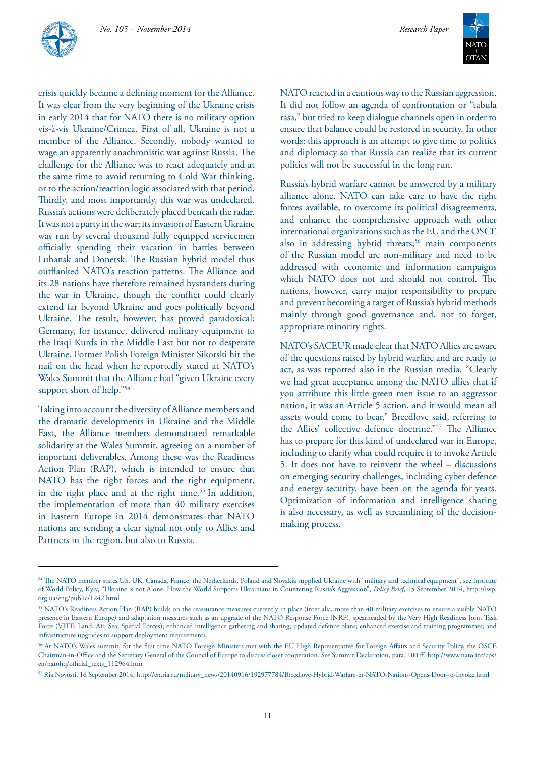

crisis quickly became a defining moment for the Alliance. It was clear from the very beginning of the Ukraine crisis in early 2014 that for NATO there is no military option vis-à-vis Ukraine/Crimea. First of all, Ukraine is not a member of the Alliance. Secondly, nobody wanted to wage an apparently anachronistic war against Russia. The challenge for the Alliance was to react adequately and at the same time to avoid returning to Cold War thinking, or to the action/reaction logic associated with that period. Thirdly, and most importantly, this war was undeclared. Russia's actions were deliberately placed beneath the radar. It was not a party in the war; its invasion of Eastern Ukraine was run by several thousand fully equipped servicemen officially spending their vacation in battles between Luhansk and Donetsk. The Russian hybrid model thus outflanked NATO's reaction patterns. The Alliance and its 28 nations have therefore remained bystanders during the war in Ukraine, though the conflict could clearly extend far beyond Ukraine and goes politically beyond Ukraine. The result, however, has proved paradoxical: Germany, for instance, delivered military equipment to the Iraqi Kurds in the Middle East but not to desperate Ukraine. Former Polish Foreign Minister Sikorski hit the nail on the head when he reportedly stated at NATO's Wales Summit that the Alliance had "given Ukraine every support short of help."54

Taking into account the diversity of Alliance members and the dramatic developments in Ukraine and the Middle East, the Alliance members demonstrated remarkable solidarity at the Wales Summit, agreeing on a number of important deliverables. Among these was the Readiness Action Plan (RAP), which is intended to ensure that NATO has the right forces and the right equipment, in the right place and at the right time.<sup>55</sup> In addition, the implementation of more than 40 military exercises in Eastern Europe in 2014 demonstrates that NATO nations are sending a clear signal not only to Allies and Partners in the region, but also to Russia.

NATO reacted in a cautious way to the Russian aggression. It did not follow an agenda of confrontation or "tabula rasa," but tried to keep dialogue channels open in order to ensure that balance could be restored in security. In other words: this approach is an attempt to give time to politics and diplomacy so that Russia can realize that its current politics will not be successful in the long run.

Russia's hybrid warfare cannot be answered by a military alliance alone. NATO can take care to have the right forces available, to overcome its political disagreements, and enhance the comprehensive approach with other international organizations such as the EU and the OSCE also in addressing hybrid threats;<sup>56</sup> main components of the Russian model are non-military and need to be addressed with economic and information campaigns which NATO does not and should not control. The nations, however, carry major responsibility to prepare and prevent becoming a target of Russia's hybrid methods mainly through good governance and, not to forget, appropriate minority rights.

NATO's SACEUR made clear that NATO Allies are aware of the questions raised by hybrid warfare and are ready to act, as was reported also in the Russian media. "Clearly we had great acceptance among the NATO allies that if you attribute this little green men issue to an aggressor nation, it was an Article 5 action, and it would mean all assets would come to bear," Breedlove said, referring to the Allies' collective defence doctrine."57 The Alliance has to prepare for this kind of undeclared war in Europe, including to clarify what could require it to invoke Article 5. It does not have to reinvent the wheel – discussions on emerging security challenges, including cyber defence and energy security, have been on the agenda for years. Optimization of information and intelligence sharing is also necessary, as well as streamlining of the decisionmaking process.

<sup>54</sup> The NATO member states US, UK, Canada, France, the Netherlands, Poland and Slovakia supplied Ukraine with "military and technical equipment", see Institute of World Policy, Kyiv, "Ukraine is not Alone. How the World Supports Ukrainians in Countering Russia's Aggression", *Policy Brief*, 15 September 2014, http://iwp. org.ua/eng/public/1242.html

<sup>55</sup> NATO's Readiness Action Plan (RAP) builds on the reassurance measures currently in place (inter alia, more than 40 military exercises to ensure a visible NATO presence in Eastern Europe) and adaptation measures such as an upgrade of the NATO Response Force (NRF), spearheaded by the Very High Readiness Joint Task Force (VJTF; Land, Air, Sea, Special Forces); enhanced intelligence gathering and sharing; updated defence plans; enhanced exercise and training programmes; and infrastructure upgrades to support deployment requirements.

<sup>56</sup> At NATO's Wales summit, for the first time NATO Foreign Ministers met with the EU High Representative for Foreign Affairs and Security Policy, the OSCE Chairman-in-Office and the Secretary General of the Council of Europe to discuss closer cooperation. See Summit Declaration, para. 100 ff, http://www.nato.int/cps/ en/natohq/official\_texts\_112964.htm

<sup>57</sup> Ria Novosti, 16 September 2014, http://en.ria.ru/military\_news/20140916/192977784/Breedlove-Hybrid-Warfare-in-NATO-Nations-Opens-Door-to-Invoke.html